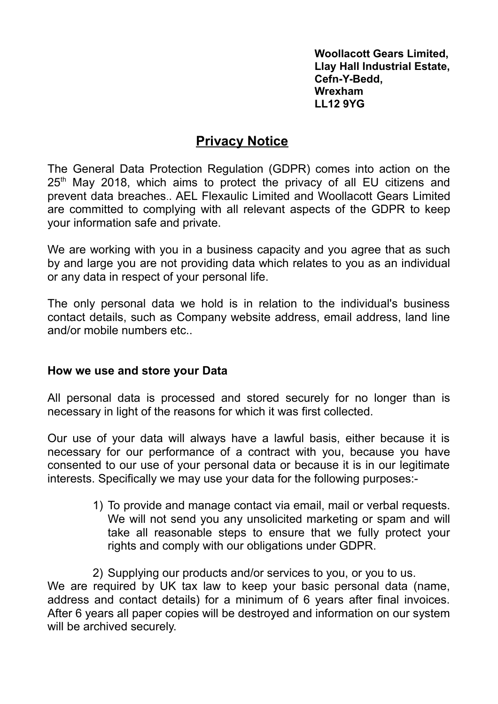**Woollacott Gears Limited, Llay Hall Industrial Estate, Cefn-Y-Bedd, Wrexham LL12 9YG**

## **Privacy Notice**

The General Data Protection Regulation (GDPR) comes into action on the 25<sup>th</sup> May 2018, which aims to protect the privacy of all EU citizens and prevent data breaches.. AEL Flexaulic Limited and Woollacott Gears Limited are committed to complying with all relevant aspects of the GDPR to keep your information safe and private.

We are working with you in a business capacity and you agree that as such by and large you are not providing data which relates to you as an individual or any data in respect of your personal life.

The only personal data we hold is in relation to the individual's business contact details, such as Company website address, email address, land line and/or mobile numbers etc..

## **How we use and store your Data**

All personal data is processed and stored securely for no longer than is necessary in light of the reasons for which it was first collected.

Our use of your data will always have a lawful basis, either because it is necessary for our performance of a contract with you, because you have consented to our use of your personal data or because it is in our legitimate interests. Specifically we may use your data for the following purposes:-

> 1) To provide and manage contact via email, mail or verbal requests. We will not send you any unsolicited marketing or spam and will take all reasonable steps to ensure that we fully protect your rights and comply with our obligations under GDPR.

2) Supplying our products and/or services to you, or you to us. We are required by UK tax law to keep your basic personal data (name, address and contact details) for a minimum of 6 years after final invoices. After 6 years all paper copies will be destroyed and information on our system will be archived securely.